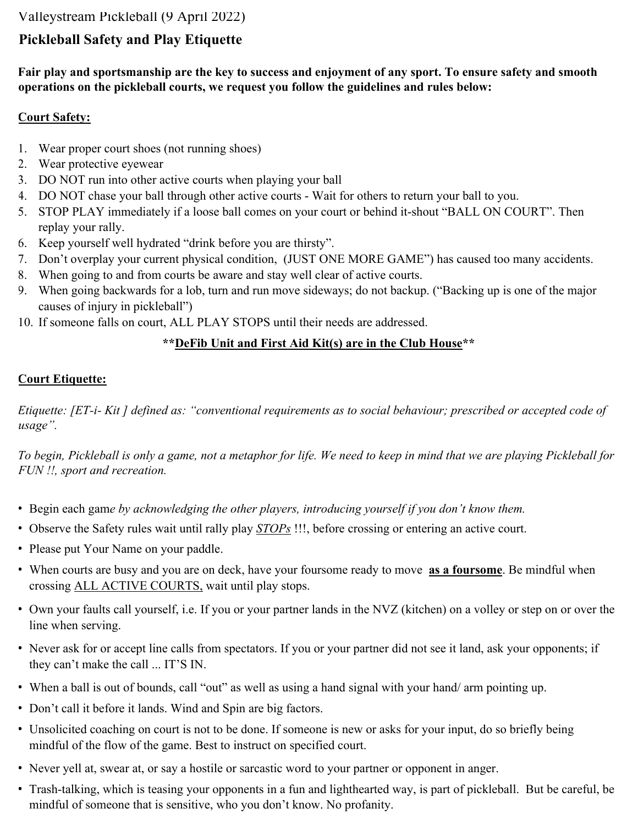## Valleystream Pickleball (9 April 2022)

# **Pickleball Safety and Play Etiquette**

**Fair play and sportsmanship are the key to success and enjoyment of any sport. To ensure safety and smooth operations on the pickleball courts, we request you follow the guidelines and rules below:** 

### **Court Safety:**

- 1. Wear proper court shoes (not running shoes)
- 2. Wear protective eyewear
- 3. DO NOT run into other active courts when playing your ball
- 4. DO NOT chase your ball through other active courts Wait for others to return your ball to you.
- 5. STOP PLAY immediately if a loose ball comes on your court or behind it-shout "BALL ON COURT". Then replay your rally.
- 6. Keep yourself well hydrated "drink before you are thirsty".
- 7. Don't overplay your current physical condition, (JUST ONE MORE GAME") has caused too many accidents.
- 8. When going to and from courts be aware and stay well clear of active courts.
- 9. When going backwards for a lob, turn and run move sideways; do not backup. ("Backing up is one of the major causes of injury in pickleball")
- 10. If someone falls on court, ALL PLAY STOPS until their needs are addressed.

## **\*\*DeFib Unit and First Aid Kit(s) are in the Club House\*\***

## **Court Etiquette:**

*Etiquette: [ET-i- Kit ] defined as: "conventional requirements as to social behaviour; prescribed or accepted code of usage".* 

*To begin, Pickleball is only a game, not a metaphor for life. We need to keep in mind that we are playing Pickleball for FUN !!, sport and recreation.* 

- ! Begin each gam*e by acknowledging the other players, introducing yourself if you don't know them.*
- ! Observe the Safety rules wait until rally play *STOPs* !!!, before crossing or entering an active court.
- ! Please put Your Name on your paddle.
- ! When courts are busy and you are on deck, have your foursome ready to move **as a foursome**. Be mindful when crossing ALL ACTIVE COURTS, wait until play stops.
- ! Own your faults call yourself, i.e. If you or your partner lands in the NVZ (kitchen) on a volley or step on or over the line when serving.
- ! Never ask for or accept line calls from spectators. If you or your partner did not see it land, ask your opponents; if they can't make the call ... IT'S IN.
- ! When a ball is out of bounds, call "out" as well as using a hand signal with your hand/ arm pointing up.
- Don't call it before it lands. Wind and Spin are big factors.
- ! Unsolicited coaching on court is not to be done. If someone is new or asks for your input, do so briefly being mindful of the flow of the game. Best to instruct on specified court.
- ! Never yell at, swear at, or say a hostile or sarcastic word to your partner or opponent in anger.
- ! Trash-talking, which is teasing your opponents in a fun and lighthearted way, is part of pickleball. But be careful, be mindful of someone that is sensitive, who you don't know. No profanity.